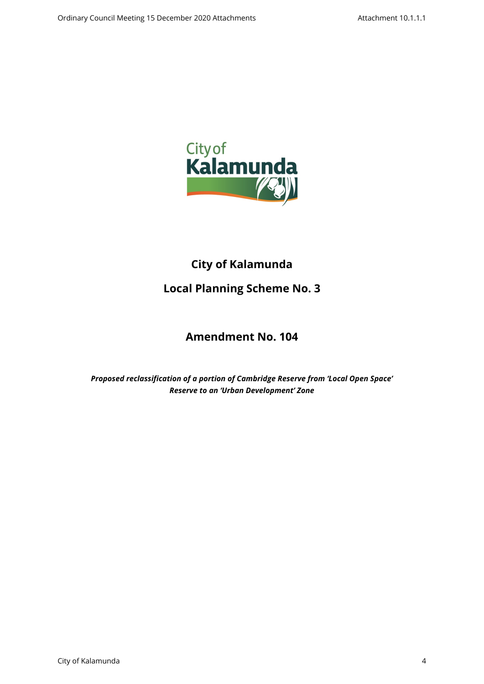

# **City of Kalamunda**

# **Local Planning Scheme No. 3**

# **Amendment No. 104**

*Proposed reclassification of a portion of Cambridge Reserve from 'Local Open Space' Reserve to an 'Urban Development' Zone*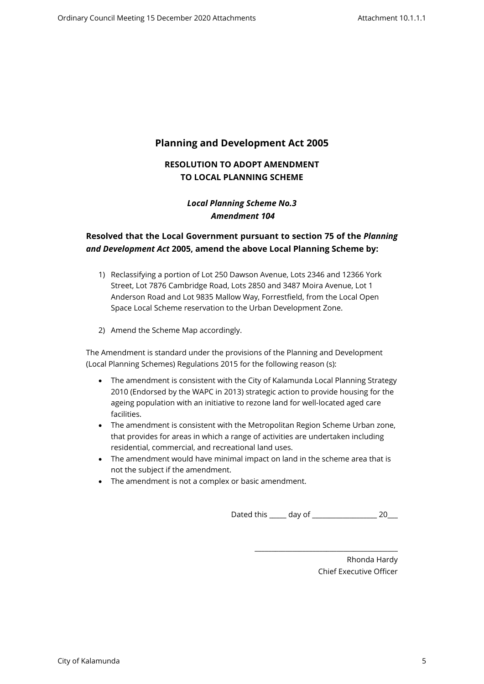## **Planning and Development Act 2005**

## **RESOLUTION TO ADOPT AMENDMENT TO LOCAL PLANNING SCHEME**

### *Local Planning Scheme No.3 Amendment 104*

### **Resolved that the Local Government pursuant to section 75 of the** *Planning and Development Act* **2005, amend the above Local Planning Scheme by:**

- 1) Reclassifying a portion of Lot 250 Dawson Avenue, Lots 2346 and 12366 York Street, Lot 7876 Cambridge Road, Lots 2850 and 3487 Moira Avenue, Lot 1 Anderson Road and Lot 9835 Mallow Way, Forrestfield, from the Local Open Space Local Scheme reservation to the Urban Development Zone.
- 2) Amend the Scheme Map accordingly.

The Amendment is standard under the provisions of the Planning and Development (Local Planning Schemes) Regulations 2015 for the following reason (s):

- The amendment is consistent with the City of Kalamunda Local Planning Strategy 2010 (Endorsed by the WAPC in 2013) strategic action to provide housing for the ageing population with an initiative to rezone land for well-located aged care facilities.
- The amendment is consistent with the Metropolitan Region Scheme Urban zone, that provides for areas in which a range of activities are undertaken including residential, commercial, and recreational land uses.
- The amendment would have minimal impact on land in the scheme area that is not the subject if the amendment.
- The amendment is not a complex or basic amendment.

Dated this \_\_\_\_\_ day of \_\_\_\_\_\_\_\_\_\_\_\_\_\_\_\_\_\_\_ 20\_\_\_

\_\_\_\_\_\_\_\_\_\_\_\_\_\_\_\_\_\_\_\_\_\_\_\_\_\_\_\_\_\_\_\_\_\_\_\_\_\_\_\_\_\_

Rhonda Hardy Chief Executive Officer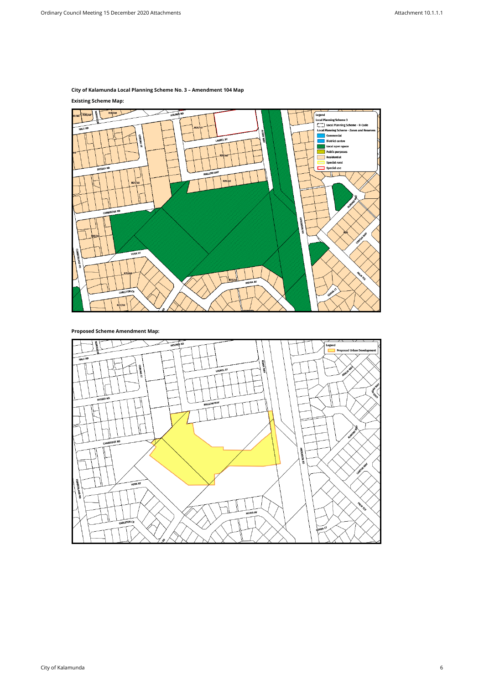### **City of Kalamunda Local Planning Scheme No. 3 – Amendment 104 Map**

#### **Existing Scheme Map:**



**Proposed Scheme Amendment Map:**

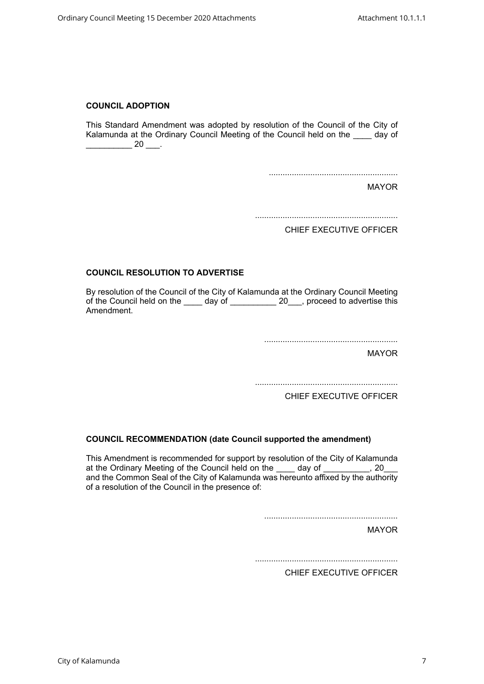#### **COUNCIL ADOPTION**

This Standard Amendment was adopted by resolution of the Council of the City of Kalamunda at the Ordinary Council Meeting of the Council held on the \_\_\_\_ day of  $\frac{1}{20}$  20  $\frac{1}{20}$ .

........................................................

MAYOR

..............................................................

CHIEF EXECUTIVE OFFICER

#### **COUNCIL RESOLUTION TO ADVERTISE**

By resolution of the Council of the City of Kalamunda at the Ordinary Council Meeting of the Council held on the \_\_\_\_\_ day of \_\_\_\_\_\_\_\_\_\_ 20\_\_\_, proceed to advertise this Amendment.

..........................................................

MAYOR

..............................................................

CHIEF EXECUTIVE OFFICER

#### **COUNCIL RECOMMENDATION (date Council supported the amendment)**

This Amendment is recommended for support by resolution of the City of Kalamunda at the Ordinary Meeting of the Council held on the \_\_\_\_ day of \_\_\_\_\_\_\_\_\_, 20\_ and the Common Seal of the City of Kalamunda was hereunto affixed by the authority of a resolution of the Council in the presence of:

..........................................................

MAYOR

..............................................................

CHIEF EXECUTIVE OFFICER